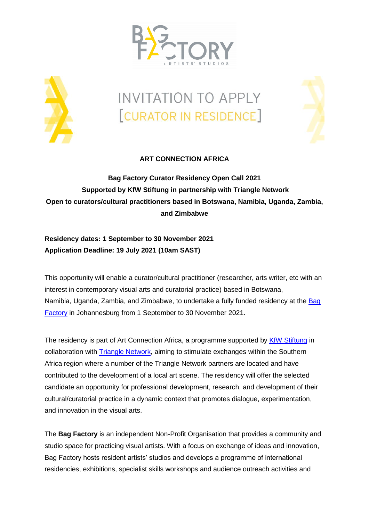



# **INVITATION TO APPLY** [CURATOR IN RESIDENCE]



# **ART CONNECTION AFRICA**

**Bag Factory Curator Residency Open Call 2021 Supported by KfW Stiftung in partnership with Triangle Network Open to curators/cultural practitioners based in Botswana, Namibia, Uganda, Zambia, and Zimbabwe**

# **Residency dates: 1 September to 30 November 2021 Application Deadline: 19 July 2021 (10am SAST)**

This opportunity will enable a curator/cultural practitioner (researcher, arts writer, etc with an interest in contemporary visual arts and curatorial practice) based in Botswana, Namibia, Uganda, Zambia, and Zimbabwe, to undertake a fully funded residency at the [Bag](http://www.bagfactoryart.org.za/)  [Factory](http://www.bagfactoryart.org.za/) in Johannesburg from 1 September to 30 November 2021.

The residency is part of Art Connection Africa, a programme supported by [KfW Stiftung](http://www.kfw-stiftung.de/umwelt-klima/frankfurt-spring-school-on-conservation-project-management/einfuehrung/) in collaboration with [Triangle Network,](https://www.trianglenetwork.org/) aiming to stimulate exchanges within the Southern Africa region where a number of the Triangle Network partners are located and have contributed to the development of a local art scene. The residency will offer the selected candidate an opportunity for professional development, research, and development of their cultural/curatorial practice in a dynamic context that promotes dialogue, experimentation, and innovation in the visual arts.

The **Bag Factory** is an independent Non-Profit Organisation that provides a community and studio space for practicing visual artists. With a focus on exchange of ideas and innovation, Bag Factory hosts resident artists' studios and develops a programme of international residencies, exhibitions, specialist skills workshops and audience outreach activities and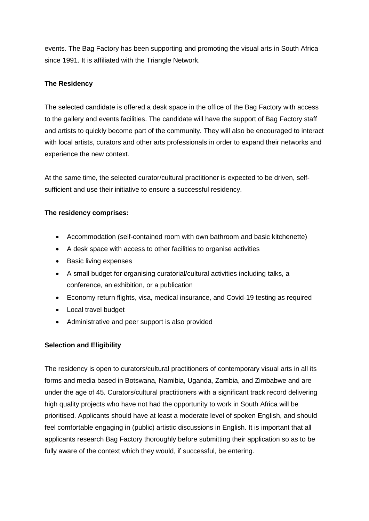events. The Bag Factory has been supporting and promoting the visual arts in South Africa since 1991. It is affiliated with the Triangle Network.

# **The Residency**

The selected candidate is offered a desk space in the office of the Bag Factory with access to the gallery and events facilities. The candidate will have the support of Bag Factory staff and artists to quickly become part of the community. They will also be encouraged to interact with local artists, curators and other arts professionals in order to expand their networks and experience the new context.

At the same time, the selected curator/cultural practitioner is expected to be driven, selfsufficient and use their initiative to ensure a successful residency.

#### **The residency comprises:**

- Accommodation (self-contained room with own bathroom and basic kitchenette)
- A desk space with access to other facilities to organise activities
- Basic living expenses
- A small budget for organising curatorial/cultural activities including talks, a conference, an exhibition, or a publication
- Economy return flights, visa, medical insurance, and Covid-19 testing as required
- Local travel budget
- Administrative and peer support is also provided

#### **Selection and Eligibility**

The residency is open to curators/cultural practitioners of contemporary visual arts in all its forms and media based in Botswana, Namibia, Uganda, Zambia, and Zimbabwe and are under the age of 45. Curators/cultural practitioners with a significant track record delivering high quality projects who have not had the opportunity to work in South Africa will be prioritised. Applicants should have at least a moderate level of spoken English, and should feel comfortable engaging in (public) artistic discussions in English. It is important that all applicants research Bag Factory thoroughly before submitting their application so as to be fully aware of the context which they would, if successful, be entering.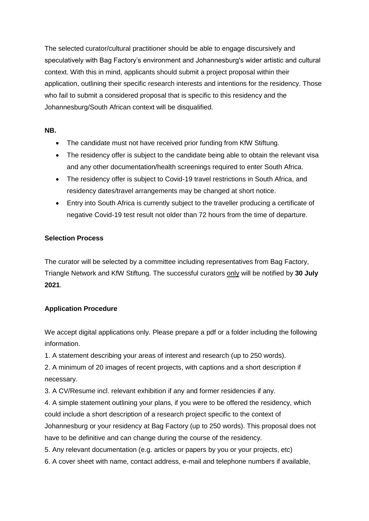The selected curator/cultural practitioner should be able to engage discursively and speculatively with Bag Factory's environment and Johannesburg's wider artistic and cultural context. With this in mind, applicants should submit a project proposal within their application, outlining their specific research interests and intentions for the residency. Those who fail to submit a considered proposal that is specific to this residency and the Johannesburg/South African context will be disqualified.

#### **NB.**

- The candidate must not have received prior funding from KfW Stiftung.
- The residency offer is subject to the candidate being able to obtain the relevant visa and any other documentation/health screenings required to enter South Africa.
- The residency offer is subject to Covid-19 travel restrictions in South Africa, and residency dates/travel arrangements may be changed at short notice.
- Entry into South Africa is currently subject to the traveller producing a certificate of negative Covid-19 test result not older than 72 hours from the time of departure.

#### **Selection Process**

The curator will be selected by a committee including representatives from Bag Factory, Triangle Network and KfW Stiftung. The successful curators only will be notified by **30 July 2021**.

# **Application Procedure**

We accept digital applications only. Please prepare a pdf or a folder including the following information.

1. A statement describing your areas of interest and research (up to 250 words).

2. A minimum of 20 images of recent projects, with captions and a short description if necessary.

3. A CV/Resume incl. relevant exhibition if any and former residencies if any.

4. A simple statement outlining your plans, if you were to be offered the residency, which could include a short description of a research project specific to the context of Johannesburg or your residency at Bag Factory (up to 250 words). This proposal does not have to be definitive and can change during the course of the residency.

5. Any relevant documentation (e.g. articles or papers by you or your projects, etc)

6. A cover sheet with name, contact address, e-mail and telephone numbers if available,